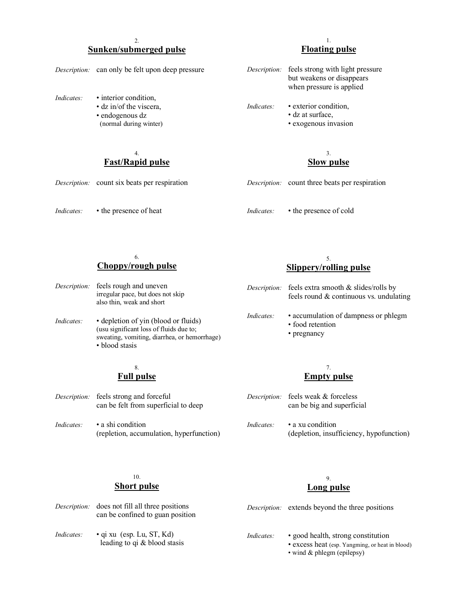#### 2. **Sunken/submerged pulse**

|            | <i>Description:</i> can only be felt upon deep pressure                                             | Description: | feels strong with light pressure<br>but weakens or disappears<br>when pressure is applied |
|------------|-----------------------------------------------------------------------------------------------------|--------------|-------------------------------------------------------------------------------------------|
| Indicates: | • interior condition,<br>$\cdot$ dz in/of the viscera,<br>• endogenous dz<br>(normal during winter) | Indicates:   | • exterior condition.<br>• dz at surface.<br>• exogenous invasion                         |
|            | 4.<br><b>Fast/Rapid pulse</b>                                                                       |              | 3.<br><b>Slow pulse</b>                                                                   |

*Indicates:* • the presence of heat

*Description:* count six beats per respiration

## **Floating pulse**

1.

|            | but weakens or disappears<br>when pressure is applied |
|------------|-------------------------------------------------------|
| Indicates: | • exterior condition,<br>• dz at surface.             |

- *Description:* count three beats per respiration
- *Indicates:* the presence of cold

#### 6. **Choppy/rough pulse**

- *Description:* feels rough and uneven irregular pace, but does not skip also thin, weak and short
- *Indicates:* depletion of yin (blood or fluids) (usu significant loss of fluids due to; sweating, vomiting, diarrhea, or hemorrhage) • blood stasis

#### 8. **Full pulse**

- *Description:* feels strong and forceful can be felt from superficial to deep
- *Indicates:* a shi condition (repletion, accumulation, hyperfunction)

#### 5. **Slippery/rolling pulse**

|           | <i>Description:</i> feels extra smooth & slides/rolls by<br>feels round & continuous vs. undulating |
|-----------|-----------------------------------------------------------------------------------------------------|
| Indicates | • accumulation of dampness or phlegm<br>• food retention<br>• pregnancy                             |

#### 7. **Empty pulse**

- *Description:* feels weak & forceless can be big and superficial
- *Indicates:* a xu condition (depletion, insufficiency, hypofunction)

### 10. **Short pulse**

#### 9. **Long pulse**

| Description: | does not fill all three positions<br>can be confined to guan position |                   | <i>Description:</i> extends beyond the three positions                                |
|--------------|-----------------------------------------------------------------------|-------------------|---------------------------------------------------------------------------------------|
| Indicates:   | $\bullet$ qi xu (esp. Lu, ST, Kd)<br>leading to $qi \& blood$ stasis  | <i>Indicates:</i> | • good health, strong constitution<br>• excess heat (esp. Yangming, or heat in blood) |

• wind & phlegm (epilepsy)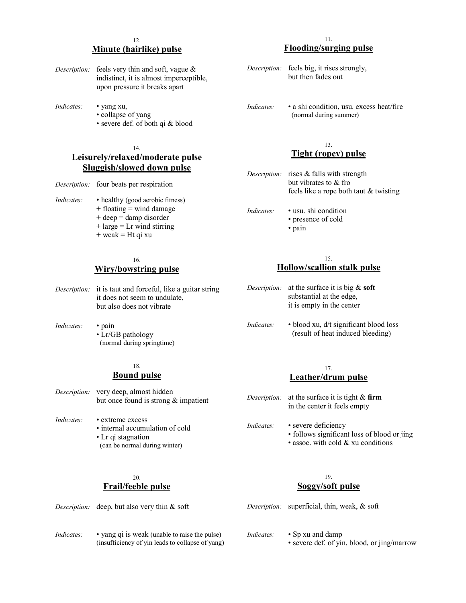#### 12. **Minute (hairlike) pulse**

- *Description:* feels very thin and soft, vague & indistinct, it is almost imperceptible, upon pressure it breaks apart
- *Indicates:* yang xu,
	- collapse of yang
	- severe def. of both qi & blood

#### 14. **Leisurely/relaxed/moderate pulse Sluggish/slowed down pulse**

- *Description:* four beats per respiration
- *Indicates:* healthy (good aerobic fitness)
	- $+$  floating  $=$  wind damage
	- + deep = damp disorder
	- $+$  large  $=$  Lr wind stirring
	- $+$  weak = Ht qi xu

#### 16. **Wiry/bowstring pulse**

*Description:* it is taut and forceful, like a guitar string it does not seem to undulate, but also does not vibrate

*Indicates:* • pain • Lr/GB pathology (normal during springtime)

#### 18. **Bound pulse**

- *Description:* very deep, almost hidden but once found is strong & impatient
- *Indicates:* extreme excess • internal accumulation of cold • Lr qi stagnation (can be normal during winter)

#### 11. **Flooding/surging pulse**

- *Description:* feels big, it rises strongly, but then fades out
- *Indicates:* a shi condition, usu. excess heat/fire (normal during summer)

#### 13. **Tight (ropey) pulse**

*Description:* rises & falls with strength but vibrates to & fro feels like a rope both taut & twisting *Indicates:* • usu. shi condition • presence of cold • pain

#### 15. **Hollow/scallion stalk pulse**

- *Description:* at the surface it is big & **soft** substantial at the edge, it is empty in the center
- *Indicates:* blood xu, d/t significant blood loss (result of heat induced bleeding)

#### 17. **Leather/drum pulse**

- *Description:* at the surface it is tight & **firm** in the center it feels empty
- *Indicates:* severe deficiency • follows significant loss of blood or jing • assoc. with cold & xu conditions
	-

#### $20<sub>0</sub>$ **Frail/feeble pulse**

#### 19. **Soggy/soft pulse**

*Description:* deep, but also very thin & soft *Indicates:* • yang qi is weak (unable to raise the pulse) (insufficiency of yin leads to collapse of yang) *Description:* superficial, thin, weak, & soft *Indicates:* • Sp xu and damp • severe def. of yin, blood, or jing/marrow